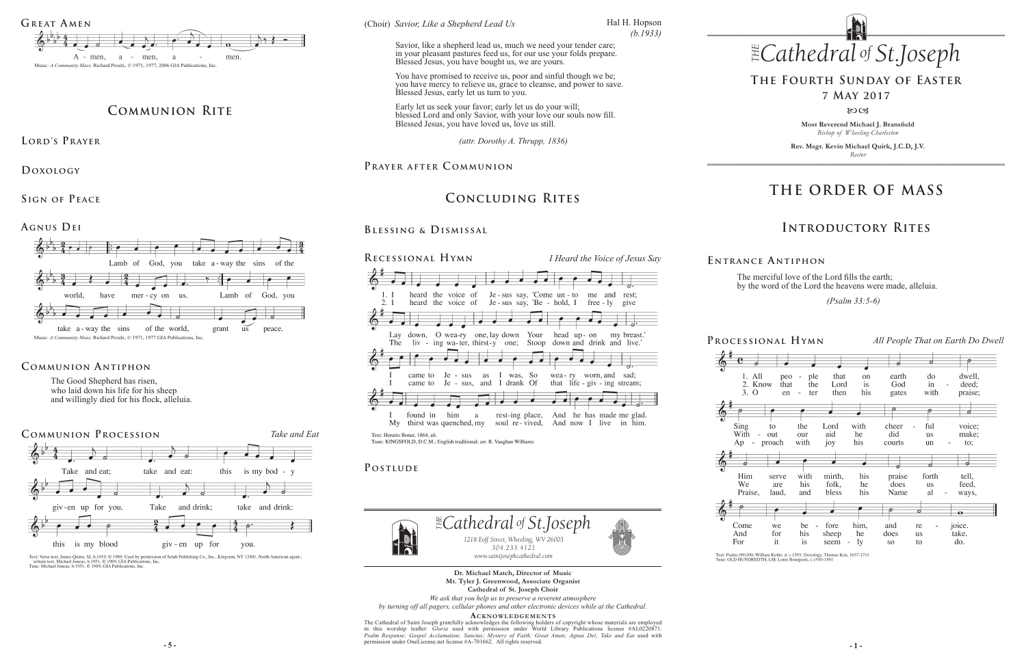**Most Reverend Michael J. Bransfield** *Bishop of Wheeling-Charleston*

**Rev. Msgr. Kevin Michael Quirk, J.C.D, J.V.** *Rector*



# **THE ORDER OF MASS**

## **Introductory Rites**

# **The Fourth Sunday of Easter**

### **7 May 2017**

#### 80CB

# **Concluding Rites**



Text: Psalm (99)100; William Kethe, d. c.1593; Doxology, Thomas Ken, 1637-1711<br>Tune: OLD HUNDREDTH, LM; Louis Bourgeois, c.1510-1561

The merciful love of the Lord fills the earth; by the word of the Lord the heavens were made, alleluia.

 *(Psalm 33:5-6)* 

**E ntrance A ntiphon**

 $Ap$ 

And

For



Text: Verse text, James Quinn, SJ, b.1919, © 1989. Used by permission of Selah Publishing Co., Inc., Kingston, NY 12401, North American agent.;<br>refrain text, Michael Joncas, b.1951, © 1989, GIA Publications, Inc.<br>Tune: Mic

*Like a Shepherd Lead Us*<br>'' (Choir) Savior, Like a Shepherd Lead Us

The Good Shepherd has risen, who laid down his life for his sheep and willingly died for his flock, alleluia.

> **5** - **5** - **1** - **1** - **1** - **1** - **1** - **1** - **1** - **1** - **1** - **1** - **1** - **1** - **1** - **1** - **1** - **1** - **1** - **1** - **1** - **1** - **1** - **1** - **1** - **1** - **1** - **1** - **1** - **1** - **1** - **1** - **1** - **1** - **1** - **1** - **1** - The Cathedral of Saint Joseph gratefully acknowledges the following holders of copyright whose materials are employed<br>in this worship leaflet: *Gloria* used with permission under World Library Publications license #AL02208 *Psalm Response; Gospel Acclamation; Sanctus; Mystery of Faith; Great Amen; Agnus Dei; Take and Eat* used with permission under OneLicense.net license #A-701662.All rights reserved.



#### **Communion Antiphon**

**Dr. Michael Match, Director of Music Mr. Tyler J. Greenwood, Associate Organist Cathedral of St. Joseph Choir**

*Savior, Like a Shepherd Lead Us*<br>
Savior, like a shepherd lead us, much we need your tender care; in your pleasant pastures feed us, for our use your folds prepare. Blessed Jesus, you have bought us, we are yours.

*We ask that you help us to preserve a reverent atmosphere by turning off all pagers, cellular phones and other electronic devices while at the Cathedral.*

**Acknowledgement s**



# **Communion Rite**

LORD'S PRAYER

**Doxology** 

**Sign of Peace** 

**Agnus Dei**

*(attr. Dorothy A. Thrupp, 1836)* 

PRAYER AFTER COMMUNION

#### **Blessing & Dismissal**

Hal H. Hopson *(b.1933)*



You have promised to receive us, poor and sinful though we be; you have mercy to relieve us, grace to cleanse, and power to save. Blessed Jesus, early let us turn to you.

Early let us seek your favor; early let us do your will; blessed Lord and only Savior, with your love our souls now fill. Blessed Jesus, you have loved us, love us still.